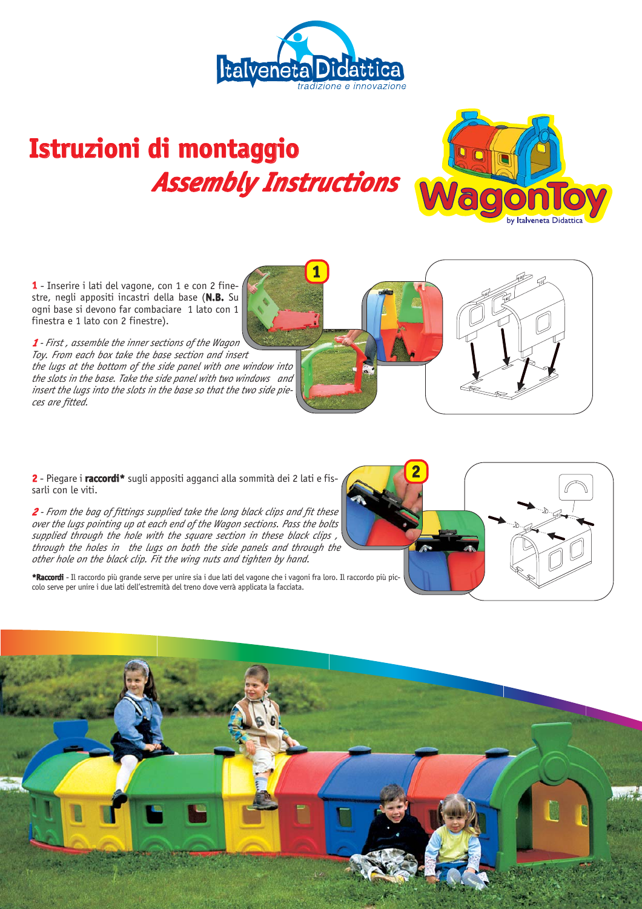

**1**

## Istruzioni di montaggio *Assembly Instructions*



**1** - Inserire i lati del vagone, con 1 e con 2 finestre, negli appositi incastri della base (**N.B.** Su ogni base si devono far combaciare 1 lato con 1 finestra e 1 lato con 2 finestre).

*1 - First , assemble the inner sections of the Wagon Toy. From each box take the base section and insert the lugs at the bottom of the side panel with one window into the slots in the base. Take the side panel with two windows and insert the lugs into the slots in the base so that the two side pieces are fitted.*

**2** - Piegare i **r a c c o r d i \*** sugli appositi agganci alla sommità dei 2 lati e fissarli con le viti.

*2 - From the bag of fittings supplied take the long black clips and fit these over the lugs pointing up at each end of the Wagon sections. Pass the bolts supplied through the hole with the square section in these black clips , through the holes in the lugs on both the side panels and through the other hole on the black clip. Fit the wing nuts and tighten by hand.*

**\*Raccordi** - Il raccordo più grande serve per unire sia i due lati del vagone che i vagoni fra loro. Il raccordo più piccolo serve per unire i due lati dell'estremità del treno dove verrà applicata la facciata.